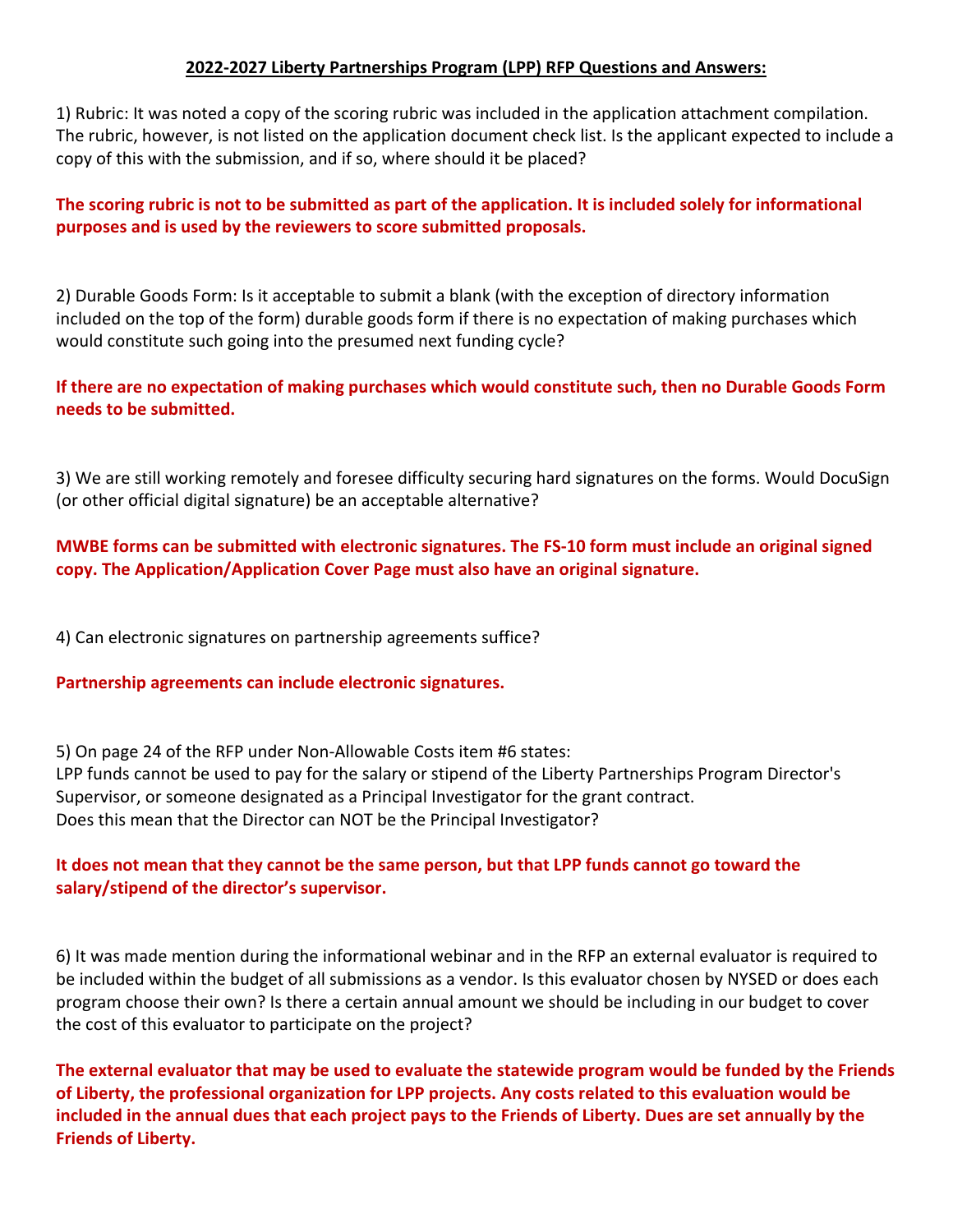## **2022-2027 Liberty Partnerships Program (LPP) RFP Questions and Answers:**

1) Rubric: It was noted a copy of the scoring rubric was included in the application attachment compilation. The rubric, however, is not listed on the application document check list. Is the applicant expected to include a copy of this with the submission, and if so, where should it be placed?

# **The scoring rubric is not to be submitted as part of the application. It is included solely for informational purposes and is used by the reviewers to score submitted proposals.**

2) Durable Goods Form: Is it acceptable to submit a blank (with the exception of directory information included on the top of the form) durable goods form if there is no expectation of making purchases which would constitute such going into the presumed next funding cycle?

# **If there are no expectation of making purchases which would constitute such, then no Durable Goods Form needs to be submitted.**

3) We are still working remotely and foresee difficulty securing hard signatures on the forms. Would DocuSign (or other official digital signature) be an acceptable alternative?

# **MWBE forms can be submitted with electronic signatures. The FS-10 form must include an original signed copy. The Application/Application Cover Page must also have an original signature.**

4) Can electronic signatures on partnership agreements suffice?

### **Partnership agreements can include electronic signatures.**

5) On page 24 of the RFP under Non-Allowable Costs item #6 states: LPP funds cannot be used to pay for the salary or stipend of the Liberty Partnerships Program Director's Supervisor, or someone designated as a Principal Investigator for the grant contract. Does this mean that the Director can NOT be the Principal Investigator?

## **It does not mean that they cannot be the same person, but that LPP funds cannot go toward the salary/stipend of the director's supervisor.**

6) It was made mention during the informational webinar and in the RFP an external evaluator is required to be included within the budget of all submissions as a vendor. Is this evaluator chosen by NYSED or does each program choose their own? Is there a certain annual amount we should be including in our budget to cover the cost of this evaluator to participate on the project?

**The external evaluator that may be used to evaluate the statewide program would be funded by the Friends of Liberty, the professional organization for LPP projects. Any costs related to this evaluation would be included in the annual dues that each project pays to the Friends of Liberty. Dues are set annually by the Friends of Liberty.**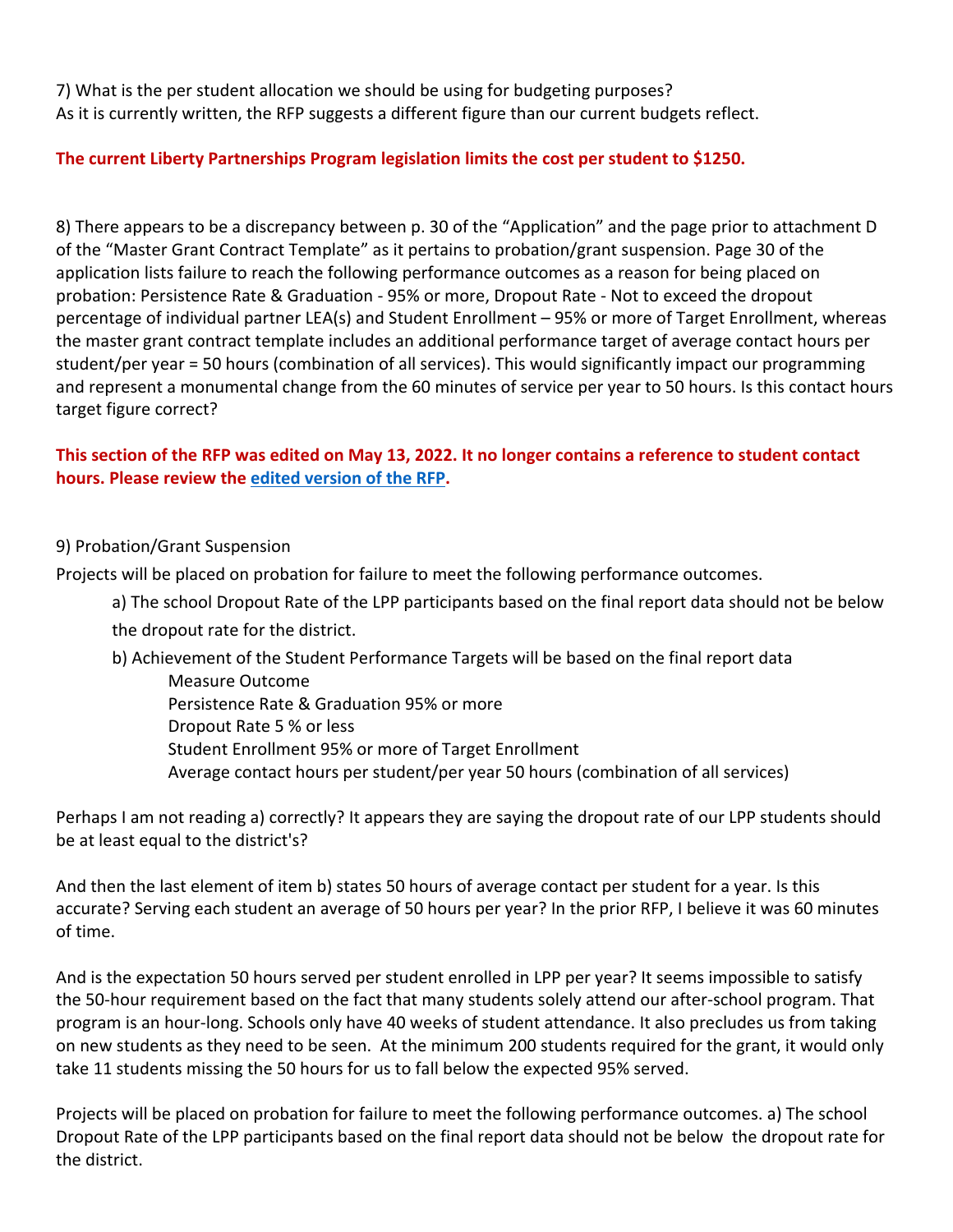7) What is the per student allocation we should be using for budgeting purposes? As it is currently written, the RFP suggests a different figure than our current budgets reflect.

# **The current Liberty Partnerships Program legislation limits the cost per student to \$1250.**

8) There appears to be a discrepancy between p. 30 of the "Application" and the page prior to attachment D of the "Master Grant Contract Template" as it pertains to probation/grant suspension. Page 30 of the application lists failure to reach the following performance outcomes as a reason for being placed on probation: Persistence Rate & Graduation - 95% or more, Dropout Rate - Not to exceed the dropout percentage of individual partner LEA(s) and Student Enrollment – 95% or more of Target Enrollment, whereas the master grant contract template includes an additional performance target of average contact hours per student/per year = 50 hours (combination of all services). This would significantly impact our programming and represent a monumental change from the 60 minutes of service per year to 50 hours. Is this contact hours target figure correct?

# **This section of the RFP was edited on May 13, 2022. It no longer contains a reference to student contact hours. Please review the [edited version of the RFP.](https://www.p12.nysed.gov/funding/lpp-2022-27/nysed-rfp-lpp-2022-27.pdf)**

## 9) Probation/Grant Suspension

Projects will be placed on probation for failure to meet the following performance outcomes.

a) The school Dropout Rate of the LPP participants based on the final report data should not be below the dropout rate for the district.

### b) Achievement of the Student Performance Targets will be based on the final report data Measure Outcome Persistence Rate & Graduation 95% or more

Dropout Rate 5 % or less Student Enrollment 95% or more of Target Enrollment

Average contact hours per student/per year 50 hours (combination of all services)

Perhaps I am not reading a) correctly? It appears they are saying the dropout rate of our LPP students should be at least equal to the district's?

And then the last element of item b) states 50 hours of average contact per student for a year. Is this accurate? Serving each student an average of 50 hours per year? In the prior RFP, I believe it was 60 minutes of time.

And is the expectation 50 hours served per student enrolled in LPP per year? It seems impossible to satisfy the 50-hour requirement based on the fact that many students solely attend our after-school program. That program is an hour-long. Schools only have 40 weeks of student attendance. It also precludes us from taking on new students as they need to be seen. At the minimum 200 students required for the grant, it would only take 11 students missing the 50 hours for us to fall below the expected 95% served.

Projects will be placed on probation for failure to meet the following performance outcomes. a) The school Dropout Rate of the LPP participants based on the final report data should not be below the dropout rate for the district.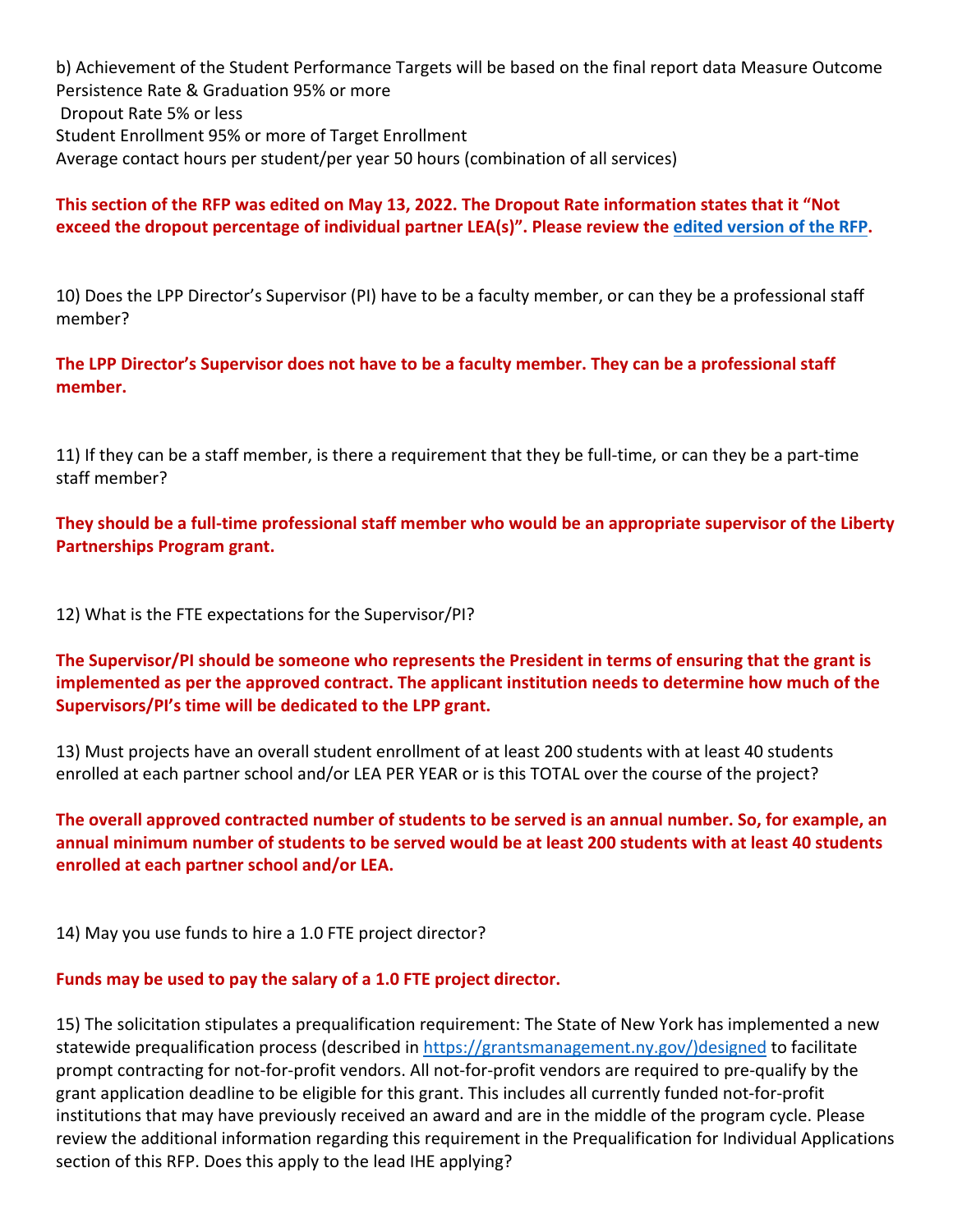b) Achievement of the Student Performance Targets will be based on the final report data Measure Outcome Persistence Rate & Graduation 95% or more Dropout Rate 5% or less Student Enrollment 95% or more of Target Enrollment Average contact hours per student/per year 50 hours (combination of all services)

# **This section of the RFP was edited on May 13, 2022. The Dropout Rate information states that it "Not exceed the dropout percentage of individual partner LEA(s)". Please review the [edited version of the RFP.](https://www.p12.nysed.gov/funding/lpp-2022-27/nysed-rfp-lpp-2022-27.pdf)**

10) Does the LPP Director's Supervisor (PI) have to be a faculty member, or can they be a professional staff member?

**The LPP Director's Supervisor does not have to be a faculty member. They can be a professional staff member.**

11) If they can be a staff member, is there a requirement that they be full-time, or can they be a part-time staff member?

**They should be a full-time professional staff member who would be an appropriate supervisor of the Liberty Partnerships Program grant.** 

12) What is the FTE expectations for the Supervisor/PI?

**The Supervisor/PI should be someone who represents the President in terms of ensuring that the grant is implemented as per the approved contract. The applicant institution needs to determine how much of the Supervisors/PI's time will be dedicated to the LPP grant.**

13) Must projects have an overall student enrollment of at least 200 students with at least 40 students enrolled at each partner school and/or LEA PER YEAR or is this TOTAL over the course of the project?

**The overall approved contracted number of students to be served is an annual number. So, for example, an annual minimum number of students to be served would be at least 200 students with at least 40 students enrolled at each partner school and/or LEA.**

14) May you use funds to hire a 1.0 FTE project director?

## **Funds may be used to pay the salary of a 1.0 FTE project director.**

15) The solicitation stipulates a prequalification requirement: The State of New York has implemented a new statewide prequalification process (described in [https://grantsmanagement.ny.gov/\)designed](https://grantsmanagement.ny.gov/)designed) to facilitate prompt contracting for not-for-profit vendors. All not-for-profit vendors are required to pre-qualify by the grant application deadline to be eligible for this grant. This includes all currently funded not-for-profit institutions that may have previously received an award and are in the middle of the program cycle. Please review the additional information regarding this requirement in the Prequalification for Individual Applications section of this RFP. Does this apply to the lead IHE applying?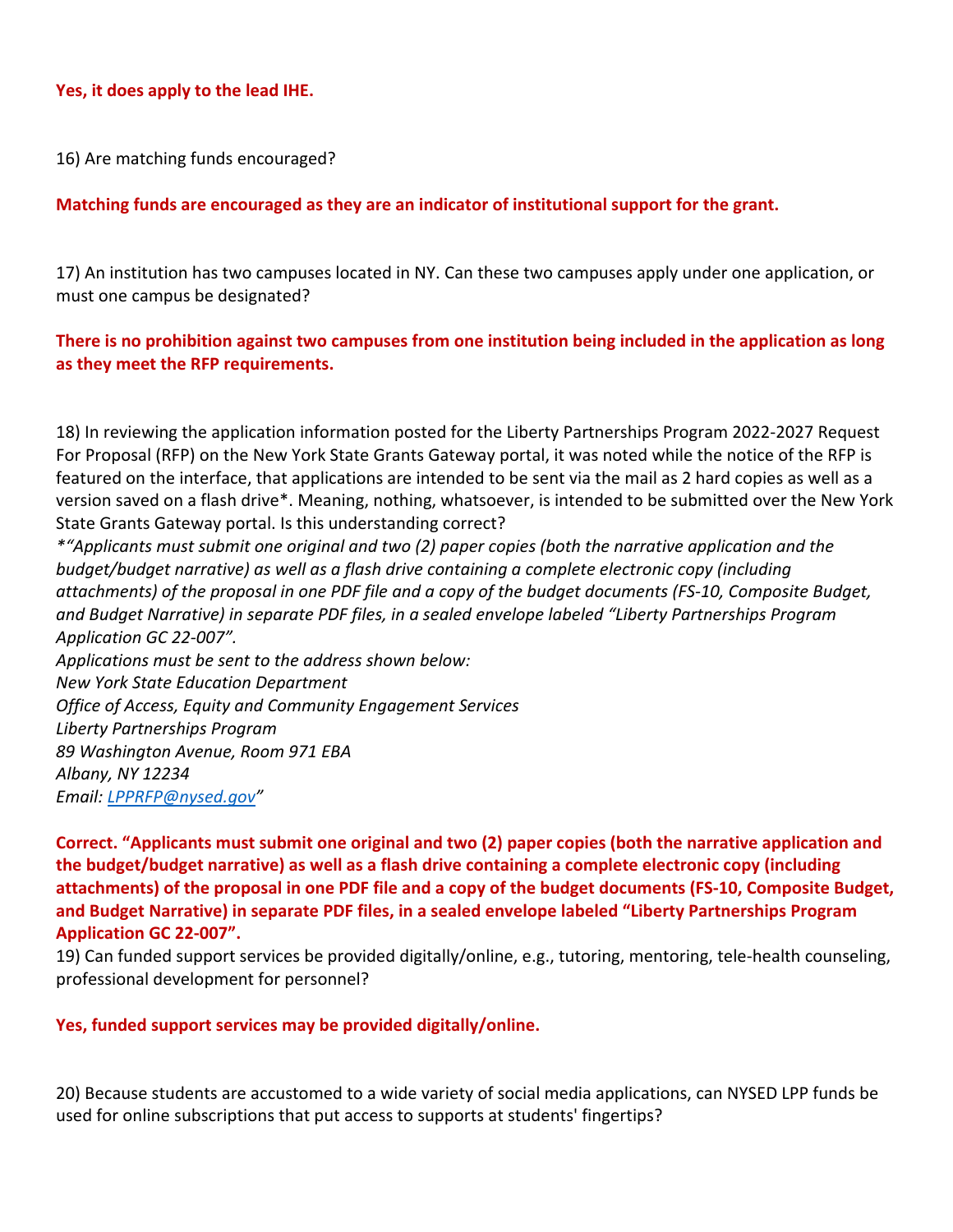### **Yes, it does apply to the lead IHE.**

16) Are matching funds encouraged?

### **Matching funds are encouraged as they are an indicator of institutional support for the grant.**

17) An institution has two campuses located in NY. Can these two campuses apply under one application, or must one campus be designated?

## **There is no prohibition against two campuses from one institution being included in the application as long as they meet the RFP requirements.**

18) In reviewing the application information posted for the Liberty Partnerships Program 2022-2027 Request For Proposal (RFP) on the New York State Grants Gateway portal, it was noted while the notice of the RFP is featured on the interface, that applications are intended to be sent via the mail as 2 hard copies as well as a version saved on a flash drive\*. Meaning, nothing, whatsoever, is intended to be submitted over the New York State Grants Gateway portal. Is this understanding correct?

*\*"Applicants must submit one original and two (2) paper copies (both the narrative application and the budget/budget narrative) as well as a flash drive containing a complete electronic copy (including attachments) of the proposal in one PDF file and a copy of the budget documents (FS-10, Composite Budget, and Budget Narrative) in separate PDF files, in a sealed envelope labeled "Liberty Partnerships Program Application GC 22-007". Applications must be sent to the address shown below: New York State Education Department Office of Access, Equity and Community Engagement Services Liberty Partnerships Program 89 Washington Avenue, Room 971 EBA Albany, NY 12234*

*Email: [LPPRFP@nysed.gov"](mailto:LPPRFP@nysed.gov)*

**Correct. "Applicants must submit one original and two (2) paper copies (both the narrative application and the budget/budget narrative) as well as a flash drive containing a complete electronic copy (including attachments) of the proposal in one PDF file and a copy of the budget documents (FS-10, Composite Budget, and Budget Narrative) in separate PDF files, in a sealed envelope labeled "Liberty Partnerships Program Application GC 22-007".**

19) Can funded support services be provided digitally/online, e.g., tutoring, mentoring, tele-health counseling, professional development for personnel?

#### **Yes, funded support services may be provided digitally/online.**

20) Because students are accustomed to a wide variety of social media applications, can NYSED LPP funds be used for online subscriptions that put access to supports at students' fingertips?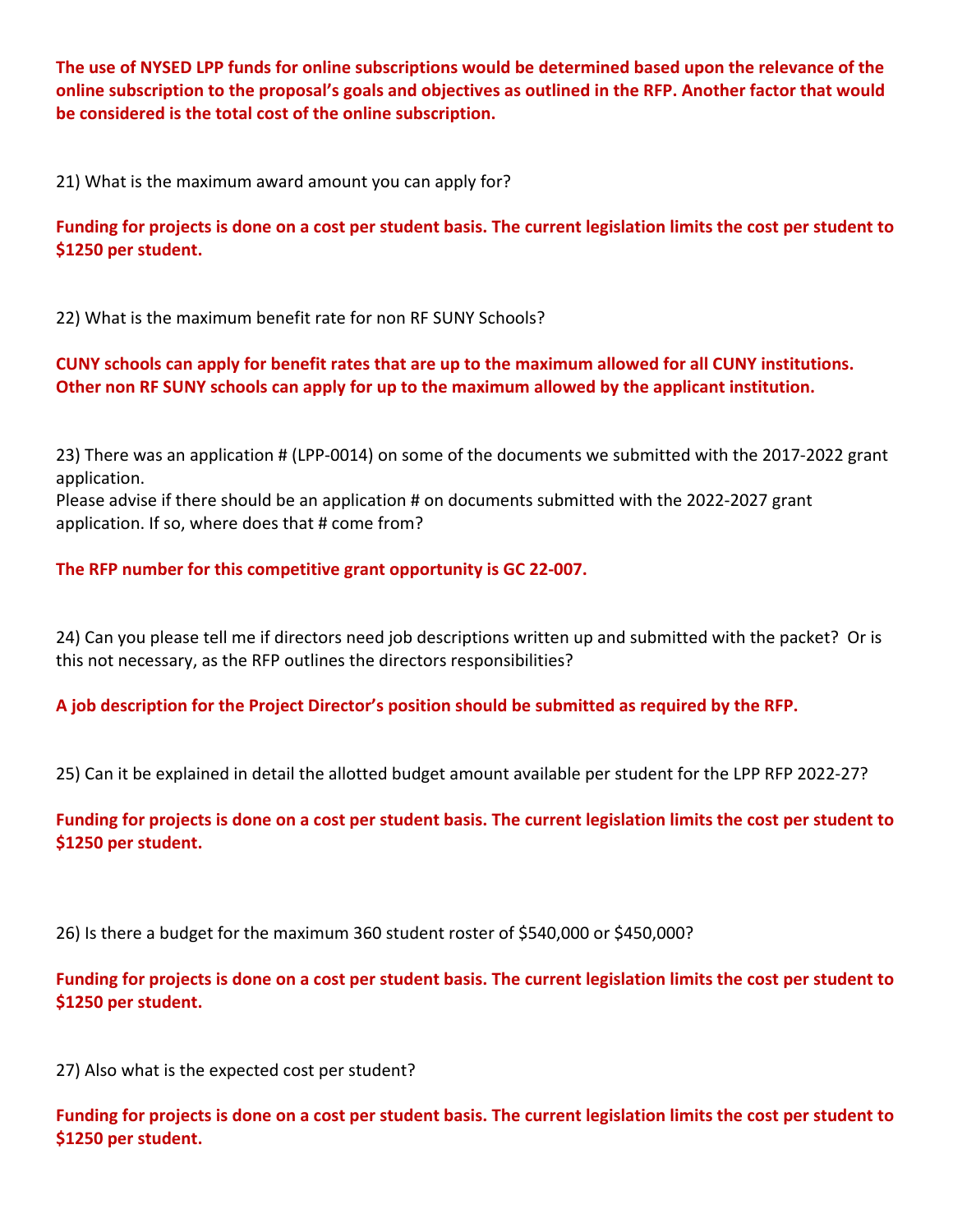**The use of NYSED LPP funds for online subscriptions would be determined based upon the relevance of the online subscription to the proposal's goals and objectives as outlined in the RFP. Another factor that would be considered is the total cost of the online subscription.** 

21) What is the maximum award amount you can apply for?

**Funding for projects is done on a cost per student basis. The current legislation limits the cost per student to \$1250 per student.**

22) What is the maximum benefit rate for non RF SUNY Schools?

**CUNY schools can apply for benefit rates that are up to the maximum allowed for all CUNY institutions. Other non RF SUNY schools can apply for up to the maximum allowed by the applicant institution.**

23) There was an application # (LPP-0014) on some of the documents we submitted with the 2017-2022 grant application.

Please advise if there should be an application # on documents submitted with the 2022-2027 grant application. If so, where does that # come from?

## **The RFP number for this competitive grant opportunity is GC 22-007.**

24) Can you please tell me if directors need job descriptions written up and submitted with the packet? Or is this not necessary, as the RFP outlines the directors responsibilities?

**A job description for the Project Director's position should be submitted as required by the RFP.**

25) Can it be explained in detail the allotted budget amount available per student for the LPP RFP 2022-27?

**Funding for projects is done on a cost per student basis. The current legislation limits the cost per student to \$1250 per student.**

26) Is there a budget for the maximum 360 student roster of \$540,000 or \$450,000?

**Funding for projects is done on a cost per student basis. The current legislation limits the cost per student to \$1250 per student.**

27) Also what is the expected cost per student?

**Funding for projects is done on a cost per student basis. The current legislation limits the cost per student to \$1250 per student.**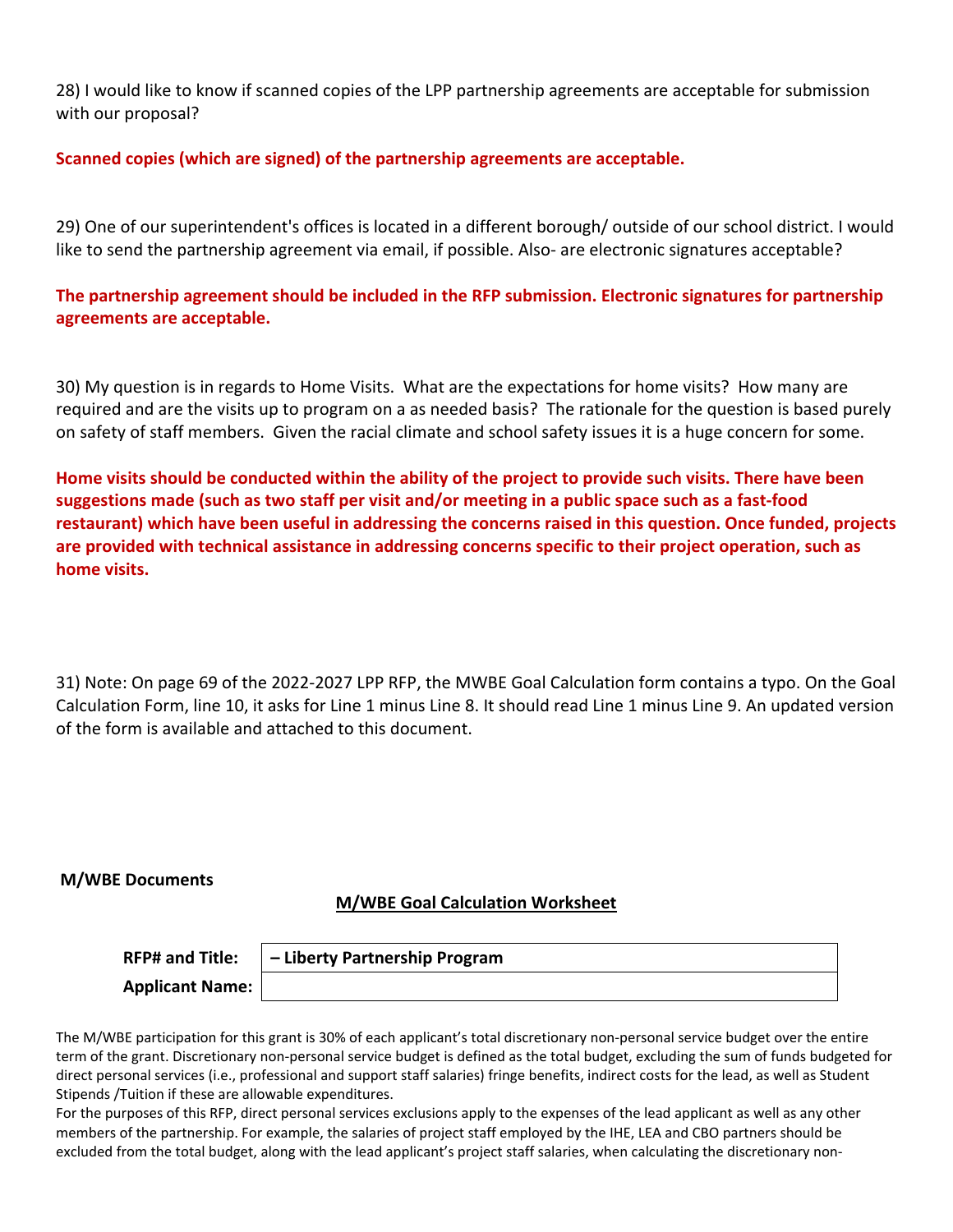28) I would like to know if scanned copies of the LPP partnership agreements are acceptable for submission with our proposal?

### **Scanned copies (which are signed) of the partnership agreements are acceptable.**

29) One of our superintendent's offices is located in a different borough/ outside of our school district. I would like to send the partnership agreement via email, if possible. Also- are electronic signatures acceptable?

**The partnership agreement should be included in the RFP submission. Electronic signatures for partnership agreements are acceptable.**

30) My question is in regards to Home Visits. What are the expectations for home visits? How many are required and are the visits up to program on a as needed basis? The rationale for the question is based purely on safety of staff members. Given the racial climate and school safety issues it is a huge concern for some.

**Home visits should be conducted within the ability of the project to provide such visits. There have been suggestions made (such as two staff per visit and/or meeting in a public space such as a fast-food restaurant) which have been useful in addressing the concerns raised in this question. Once funded, projects are provided with technical assistance in addressing concerns specific to their project operation, such as home visits.**

31) Note: On page 69 of the 2022-2027 LPP RFP, the MWBE Goal Calculation form contains a typo. On the Goal Calculation Form, line 10, it asks for Line 1 minus Line 8. It should read Line 1 minus Line 9. An updated version of the form is available and attached to this document.

#### **M/WBE Documents**

### **M/WBE Goal Calculation Worksheet**

| <b>RFP# and Title:</b> | - Liberty Partnership Program |
|------------------------|-------------------------------|
| <b>Applicant Name:</b> |                               |

The M/WBE participation for this grant is 30% of each applicant's total discretionary non-personal service budget over the entire term of the grant. Discretionary non-personal service budget is defined as the total budget, excluding the sum of funds budgeted for direct personal services (i.e., professional and support staff salaries) fringe benefits, indirect costs for the lead, as well as Student Stipends /Tuition if these are allowable expenditures.

For the purposes of this RFP, direct personal services exclusions apply to the expenses of the lead applicant as well as any other members of the partnership. For example, the salaries of project staff employed by the IHE, LEA and CBO partners should be excluded from the total budget, along with the lead applicant's project staff salaries, when calculating the discretionary non-